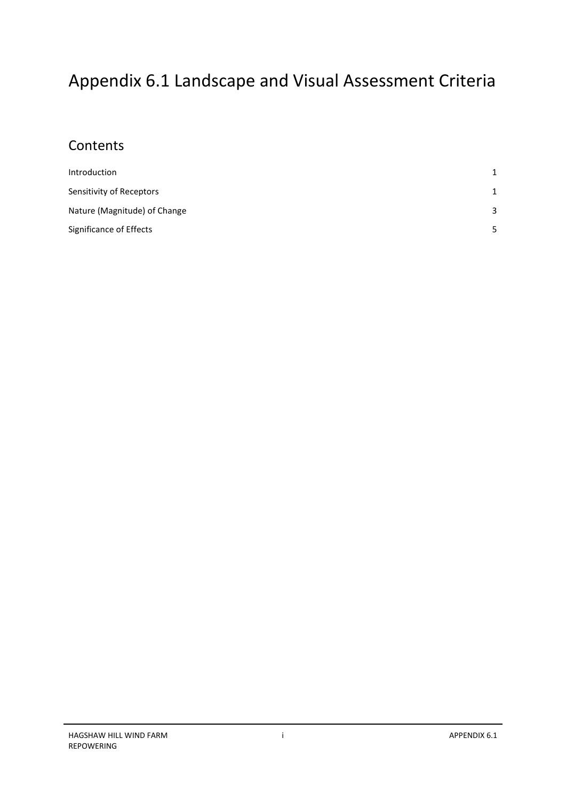# Appendix 6.1 Landscape and Visual Assessment Criteria

## **Contents**

| Introduction                 | $\mathbf{1}$ |
|------------------------------|--------------|
| Sensitivity of Receptors     | $\mathbf{1}$ |
| Nature (Magnitude) of Change | 3            |
| Significance of Effects      | д            |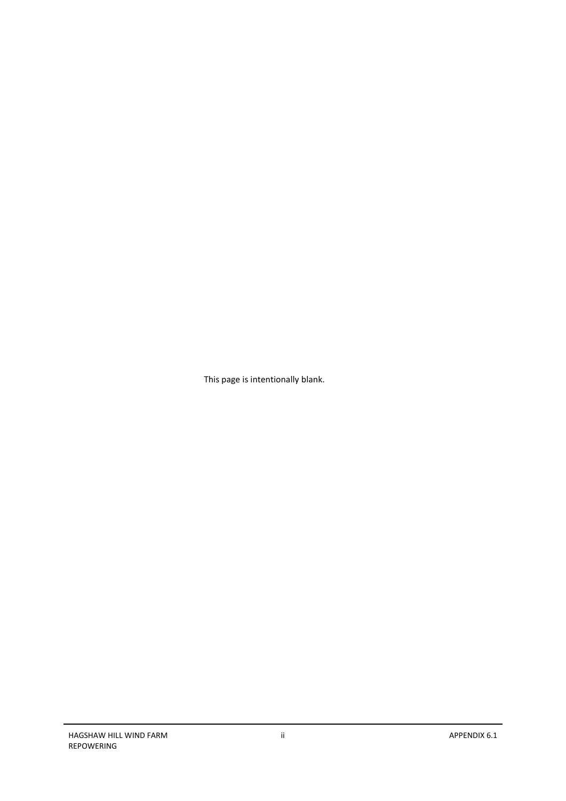This page is intentionally blank.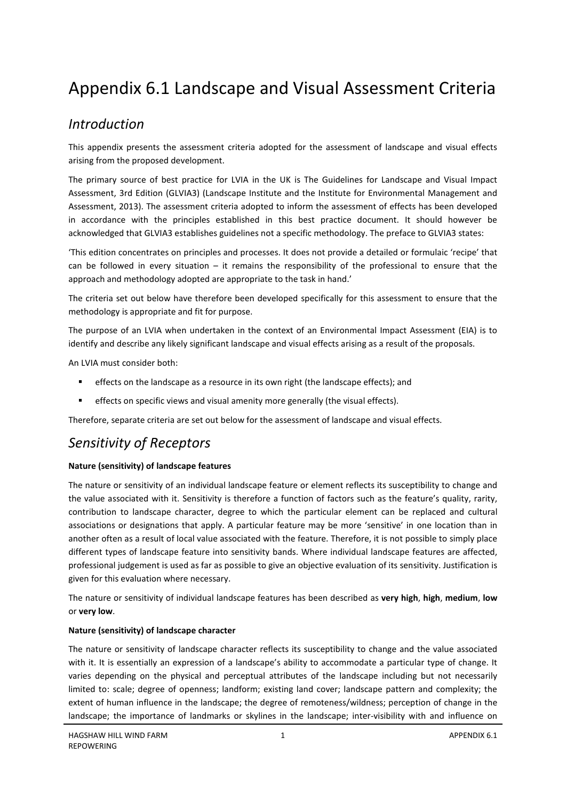# Appendix 6.1 Landscape and Visual Assessment Criteria

### <span id="page-2-0"></span>*Introduction*

This appendix presents the assessment criteria adopted for the assessment of landscape and visual effects arising from the proposed development.

The primary source of best practice for LVIA in the UK is The Guidelines for Landscape and Visual Impact Assessment, 3rd Edition (GLVIA3) (Landscape Institute and the Institute for Environmental Management and Assessment, 2013). The assessment criteria adopted to inform the assessment of effects has been developed in accordance with the principles established in this best practice document. It should however be acknowledged that GLVIA3 establishes guidelines not a specific methodology. The preface to GLVIA3 states:

'This edition concentrates on principles and processes. It does not provide a detailed or formulaic 'recipe' that can be followed in every situation – it remains the responsibility of the professional to ensure that the approach and methodology adopted are appropriate to the task in hand.'

The criteria set out below have therefore been developed specifically for this assessment to ensure that the methodology is appropriate and fit for purpose.

The purpose of an LVIA when undertaken in the context of an Environmental Impact Assessment (EIA) is to identify and describe any likely significant landscape and visual effects arising as a result of the proposals.

An LVIA must consider both:

- effects on the landscape as a resource in its own right (the landscape effects); and
- **EXECTE CONTENSI** effects on specific views and visual amenity more generally (the visual effects).

Therefore, separate criteria are set out below for the assessment of landscape and visual effects.

### <span id="page-2-1"></span>*Sensitivity of Receptors*

### **Nature (sensitivity) of landscape features**

The nature or sensitivity of an individual landscape feature or element reflects its susceptibility to change and the value associated with it. Sensitivity is therefore a function of factors such as the feature's quality, rarity, contribution to landscape character, degree to which the particular element can be replaced and cultural associations or designations that apply. A particular feature may be more 'sensitive' in one location than in another often as a result of local value associated with the feature. Therefore, it is not possible to simply place different types of landscape feature into sensitivity bands. Where individual landscape features are affected, professional judgement is used as far as possible to give an objective evaluation of its sensitivity. Justification is given for this evaluation where necessary.

The nature or sensitivity of individual landscape features has been described as **very high**, **high**, **medium**, **low** or **very low**.

### **Nature (sensitivity) of landscape character**

The nature or sensitivity of landscape character reflects its susceptibility to change and the value associated with it. It is essentially an expression of a landscape's ability to accommodate a particular type of change. It varies depending on the physical and perceptual attributes of the landscape including but not necessarily limited to: scale; degree of openness; landform; existing land cover; landscape pattern and complexity; the extent of human influence in the landscape; the degree of remoteness/wildness; perception of change in the landscape; the importance of landmarks or skylines in the landscape; inter-visibility with and influence on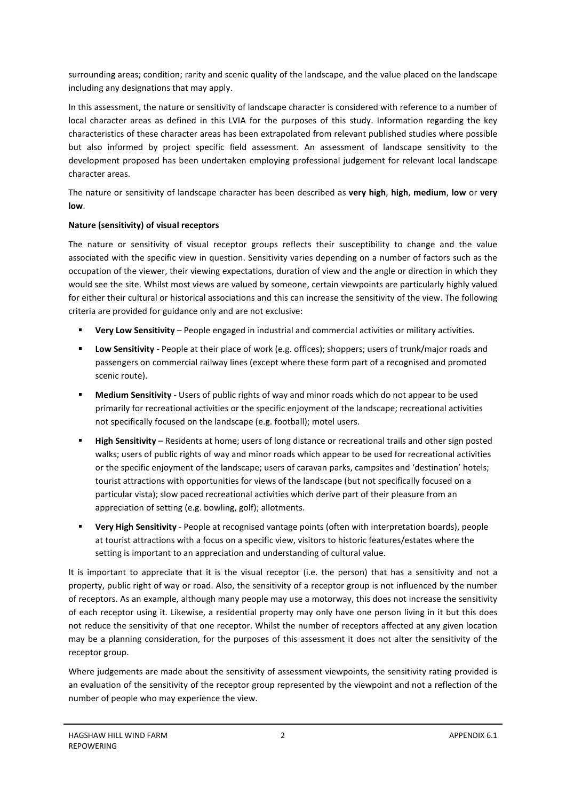surrounding areas; condition; rarity and scenic quality of the landscape, and the value placed on the landscape including any designations that may apply.

In this assessment, the nature or sensitivity of landscape character is considered with reference to a number of local character areas as defined in this LVIA for the purposes of this study. Information regarding the key characteristics of these character areas has been extrapolated from relevant published studies where possible but also informed by project specific field assessment. An assessment of landscape sensitivity to the development proposed has been undertaken employing professional judgement for relevant local landscape character areas.

The nature or sensitivity of landscape character has been described as **very high**, **high**, **medium**, **low** or **very low**.

### **Nature (sensitivity) of visual receptors**

The nature or sensitivity of visual receptor groups reflects their susceptibility to change and the value associated with the specific view in question. Sensitivity varies depending on a number of factors such as the occupation of the viewer, their viewing expectations, duration of view and the angle or direction in which they would see the site. Whilst most views are valued by someone, certain viewpoints are particularly highly valued for either their cultural or historical associations and this can increase the sensitivity of the view. The following criteria are provided for guidance only and are not exclusive:

- **Very Low Sensitivity** People engaged in industrial and commercial activities or military activities.
- **Low Sensitivity** People at their place of work (e.g. offices); shoppers; users of trunk/major roads and passengers on commercial railway lines (except where these form part of a recognised and promoted scenic route).
- **Medium Sensitivity** Users of public rights of way and minor roads which do not appear to be used primarily for recreational activities or the specific enjoyment of the landscape; recreational activities not specifically focused on the landscape (e.g. football); motel users.
- **High Sensitivity** Residents at home; users of long distance or recreational trails and other sign posted walks; users of public rights of way and minor roads which appear to be used for recreational activities or the specific enjoyment of the landscape; users of caravan parks, campsites and 'destination' hotels; tourist attractions with opportunities for views of the landscape (but not specifically focused on a particular vista); slow paced recreational activities which derive part of their pleasure from an appreciation of setting (e.g. bowling, golf); allotments.
- **Very High Sensitivity** People at recognised vantage points (often with interpretation boards), people at tourist attractions with a focus on a specific view, visitors to historic features/estates where the setting is important to an appreciation and understanding of cultural value.

It is important to appreciate that it is the visual receptor (i.e. the person) that has a sensitivity and not a property, public right of way or road. Also, the sensitivity of a receptor group is not influenced by the number of receptors. As an example, although many people may use a motorway, this does not increase the sensitivity of each receptor using it. Likewise, a residential property may only have one person living in it but this does not reduce the sensitivity of that one receptor. Whilst the number of receptors affected at any given location may be a planning consideration, for the purposes of this assessment it does not alter the sensitivity of the receptor group.

Where judgements are made about the sensitivity of assessment viewpoints, the sensitivity rating provided is an evaluation of the sensitivity of the receptor group represented by the viewpoint and not a reflection of the number of people who may experience the view.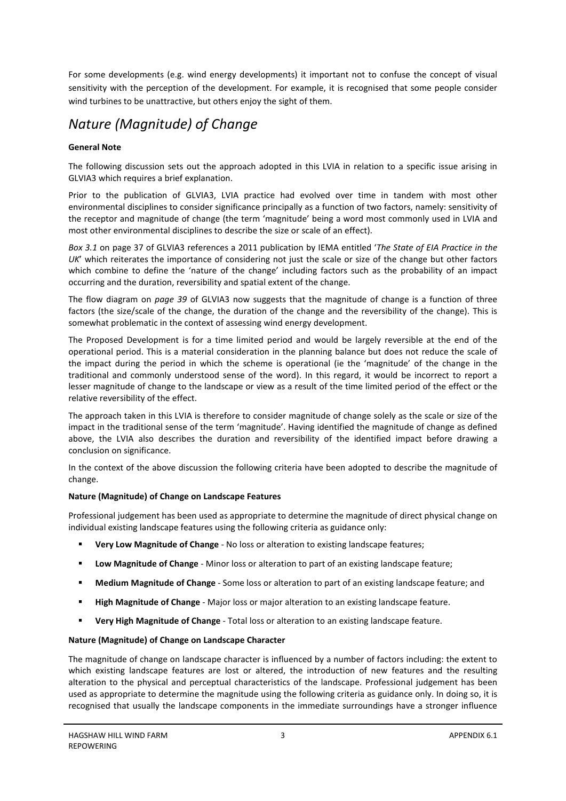For some developments (e.g. wind energy developments) it important not to confuse the concept of visual sensitivity with the perception of the development. For example, it is recognised that some people consider wind turbines to be unattractive, but others enjoy the sight of them.

## <span id="page-4-0"></span>*Nature (Magnitude) of Change*

### **General Note**

The following discussion sets out the approach adopted in this LVIA in relation to a specific issue arising in GLVIA3 which requires a brief explanation.

Prior to the publication of GLVIA3, LVIA practice had evolved over time in tandem with most other environmental disciplines to consider significance principally as a function of two factors, namely: sensitivity of the receptor and magnitude of change (the term 'magnitude' being a word most commonly used in LVIA and most other environmental disciplines to describe the size or scale of an effect).

*Box 3.1* on page 37 of GLVIA3 references a 2011 publication by IEMA entitled '*The State of EIA Practice in the UK*' which reiterates the importance of considering not just the scale or size of the change but other factors which combine to define the 'nature of the change' including factors such as the probability of an impact occurring and the duration, reversibility and spatial extent of the change.

The flow diagram on *page 39* of GLVIA3 now suggests that the magnitude of change is a function of three factors (the size/scale of the change, the duration of the change and the reversibility of the change). This is somewhat problematic in the context of assessing wind energy development.

The Proposed Development is for a time limited period and would be largely reversible at the end of the operational period. This is a material consideration in the planning balance but does not reduce the scale of the impact during the period in which the scheme is operational (ie the 'magnitude' of the change in the traditional and commonly understood sense of the word). In this regard, it would be incorrect to report a lesser magnitude of change to the landscape or view as a result of the time limited period of the effect or the relative reversibility of the effect.

The approach taken in this LVIA is therefore to consider magnitude of change solely as the scale or size of the impact in the traditional sense of the term 'magnitude'. Having identified the magnitude of change as defined above, the LVIA also describes the duration and reversibility of the identified impact before drawing a conclusion on significance.

In the context of the above discussion the following criteria have been adopted to describe the magnitude of change.

### **Nature (Magnitude) of Change on Landscape Features**

Professional judgement has been used as appropriate to determine the magnitude of direct physical change on individual existing landscape features using the following criteria as guidance only:

- **Very Low Magnitude of Change** No loss or alteration to existing landscape features;
- **Low Magnitude of Change** Minor loss or alteration to part of an existing landscape feature;
- **Medium Magnitude of Change** Some loss or alteration to part of an existing landscape feature; and
- **High Magnitude of Change** Major loss or major alteration to an existing landscape feature.
- **Very High Magnitude of Change** Total loss or alteration to an existing landscape feature.

### **Nature (Magnitude) of Change on Landscape Character**

The magnitude of change on landscape character is influenced by a number of factors including: the extent to which existing landscape features are lost or altered, the introduction of new features and the resulting alteration to the physical and perceptual characteristics of the landscape. Professional judgement has been used as appropriate to determine the magnitude using the following criteria as guidance only. In doing so, it is recognised that usually the landscape components in the immediate surroundings have a stronger influence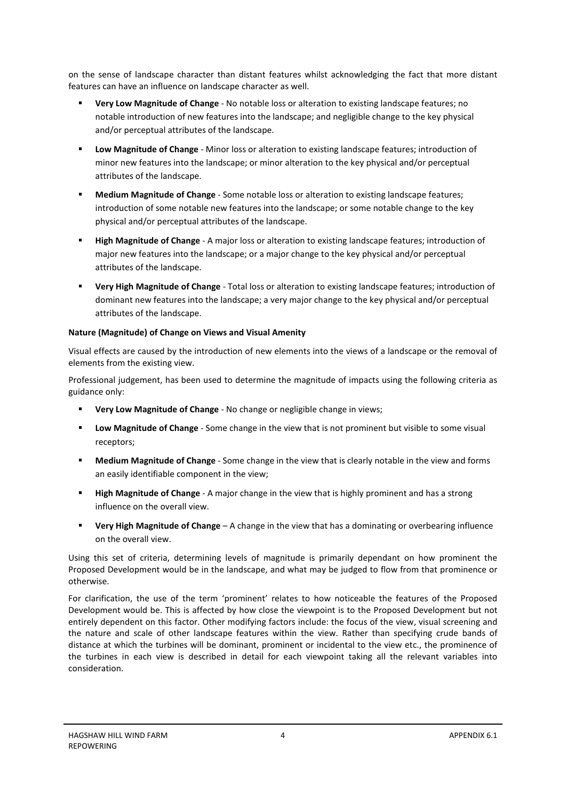on the sense of landscape character than distant features whilst acknowledging the fact that more distant features can have an influence on landscape character as well.

- **Very Low Magnitude of Change** No notable loss or alteration to existing landscape features; no notable introduction of new features into the landscape; and negligible change to the key physical and/or perceptual attributes of the landscape.
- **Low Magnitude of Change** Minor loss or alteration to existing landscape features; introduction of minor new features into the landscape; or minor alteration to the key physical and/or perceptual attributes of the landscape.
- **Medium Magnitude of Change** Some notable loss or alteration to existing landscape features; introduction of some notable new features into the landscape; or some notable change to the key physical and/or perceptual attributes of the landscape.
- **High Magnitude of Change** A major loss or alteration to existing landscape features; introduction of major new features into the landscape; or a major change to the key physical and/or perceptual attributes of the landscape.
- **Very High Magnitude of Change** Total loss or alteration to existing landscape features; introduction of dominant new features into the landscape; a very major change to the key physical and/or perceptual attributes of the landscape.

### **Nature (Magnitude) of Change on Views and Visual Amenity**

Visual effects are caused by the introduction of new elements into the views of a landscape or the removal of elements from the existing view.

Professional judgement, has been used to determine the magnitude of impacts using the following criteria as guidance only:

- **Very Low Magnitude of Change** No change or negligible change in views;
- **Low Magnitude of Change** Some change in the view that is not prominent but visible to some visual receptors;
- **Medium Magnitude of Change** Some change in the view that is clearly notable in the view and forms an easily identifiable component in the view;
- **High Magnitude of Change** A major change in the view that is highly prominent and has a strong influence on the overall view.
- **Very High Magnitude of Change** A change in the view that has a dominating or overbearing influence on the overall view.

Using this set of criteria, determining levels of magnitude is primarily dependant on how prominent the Proposed Development would be in the landscape, and what may be judged to flow from that prominence or otherwise.

For clarification, the use of the term 'prominent' relates to how noticeable the features of the Proposed Development would be. This is affected by how close the viewpoint is to the Proposed Development but not entirely dependent on this factor. Other modifying factors include: the focus of the view, visual screening and the nature and scale of other landscape features within the view. Rather than specifying crude bands of distance at which the turbines will be dominant, prominent or incidental to the view etc., the prominence of the turbines in each view is described in detail for each viewpoint taking all the relevant variables into consideration.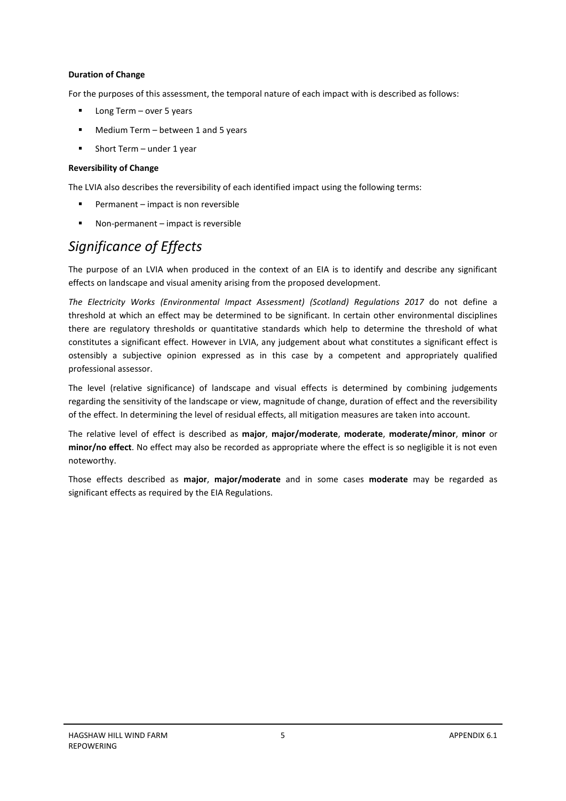#### **Duration of Change**

For the purposes of this assessment, the temporal nature of each impact with is described as follows:

- **Long Term over 5 years**
- Medium Term between 1 and 5 years
- Short Term under 1 year

#### **Reversibility of Change**

The LVIA also describes the reversibility of each identified impact using the following terms:

- Permanent impact is non reversible
- Non-permanent impact is reversible

### <span id="page-6-0"></span>*Significance of Effects*

The purpose of an LVIA when produced in the context of an EIA is to identify and describe any significant effects on landscape and visual amenity arising from the proposed development.

*The Electricity Works (Environmental Impact Assessment) (Scotland) Regulations 2017* do not define a threshold at which an effect may be determined to be significant. In certain other environmental disciplines there are regulatory thresholds or quantitative standards which help to determine the threshold of what constitutes a significant effect. However in LVIA, any judgement about what constitutes a significant effect is ostensibly a subjective opinion expressed as in this case by a competent and appropriately qualified professional assessor.

The level (relative significance) of landscape and visual effects is determined by combining judgements regarding the sensitivity of the landscape or view, magnitude of change, duration of effect and the reversibility of the effect. In determining the level of residual effects, all mitigation measures are taken into account.

The relative level of effect is described as **major**, **major/moderate**, **moderate**, **moderate/minor**, **minor** or **minor/no effect**. No effect may also be recorded as appropriate where the effect is so negligible it is not even noteworthy.

Those effects described as **major**, **major/moderate** and in some cases **moderate** may be regarded as significant effects as required by the EIA Regulations.